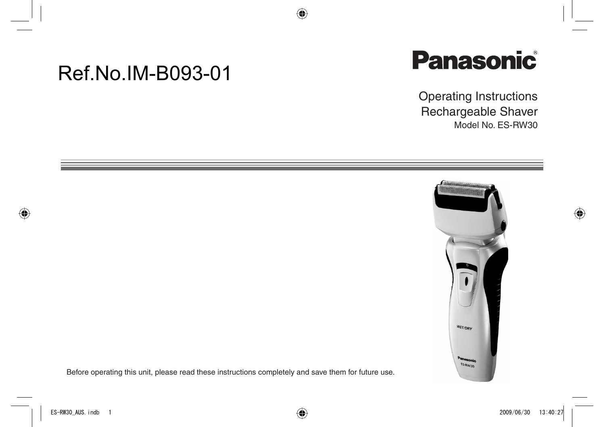# Ref.No.IM-B093-01



Operating Instructions Rechargeable Shaver Model No. ES-RW30



Before operating this unit, please read these instructions completely and save them for future use.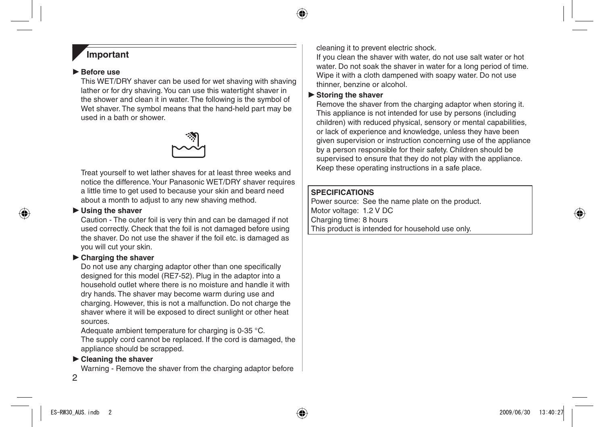## **Important**

#### **Before use**

This WET/DRY shaver can be used for wet shaving with shaving lather or for dry shaving. You can use this watertight shaver in the shower and clean it in water. The following is the symbol of Wet shaver. The symbol means that the hand-held part may be used in a bath or shower.



Treat yourself to wet lather shaves for at least three weeks and notice the difference. Your Panasonic WET/DRY shaver requires a little time to get used to because your skin and beard need about a month to adjust to any new shaving method.

#### **Using the shaver**

Caution - The outer foil is very thin and can be damaged if not used correctly. Check that the foil is not damaged before using the shaver. Do not use the shaver if the foil etc. is damaged as you will cut your skin.

## **Charging the shaver**

Do not use any charging adaptor other than one specifically designed for this model (RE7-52). Plug in the adaptor into a household outlet where there is no moisture and handle it with dry hands. The shaver may become warm during use and charging. However, this is not a malfunction. Do not charge the shaver where it will be exposed to direct sunlight or other heat sources.

Adequate ambient temperature for charging is 0-35 °C. The supply cord cannot be replaced. If the cord is damaged, the appliance should be scrapped.

## **Cleaning the shaver**

Warning - Remove the shaver from the charging adaptor before

cleaning it to prevent electric shock.

If you clean the shaver with water, do not use salt water or hot water. Do not soak the shaver in water for a long period of time. Wipe it with a cloth dampened with soapy water. Do not use thinner, benzine or alcohol.

## **Storing the shaver**

Remove the shaver from the charging adaptor when storing it. This appliance is not intended for use by persons (including children) with reduced physical, sensory or mental capabilities, or lack of experience and knowledge, unless they have been given supervision or instruction concerning use of the appliance by a person responsible for their safety. Children should be supervised to ensure that they do not play with the appliance. Keep these operating instructions in a safe place.

### **SPECIFICATIONS**

Power source: See the name plate on the product. Motor voltage: 1.2 V DC Charging time: 8 hours This product is intended for household use only.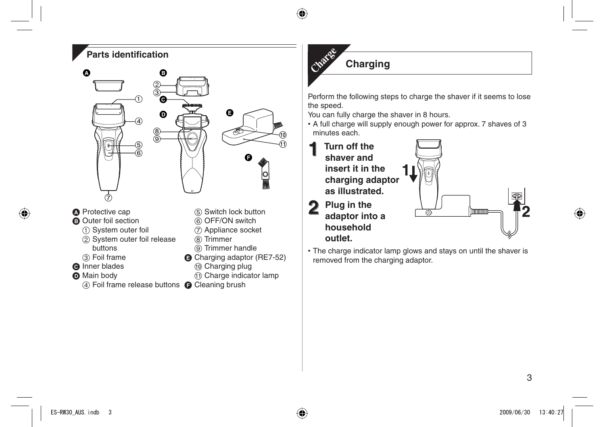## **Parts identification**



- **O** Protective cap
- **O** Outer foil section
	- System outer foil
	- (2) System outer foil release buttons
	- Foil frame
- **O** Inner blades
- **O** Main body
	- 4) Foil frame release buttons @ Cleaning brush
- Switch lock button
- OFF/ON switch
- Appliance socket
- (8) Trimmer
- Trimmer handle
- **G** Charging adaptor (RE7-52)
	- Charging plug
	- Charge indicator lamp
- 



# **Charging Charge**

Perform the following steps to charge the shaver if it seems to lose the speed.

You can fully charge the shaver in 8 hours.

A full charge will supply enough power for approx. 7 shaves of 3 • minutes each.



The charge indicator lamp glows and stays on until the shaver is • removed from the charging adaptor.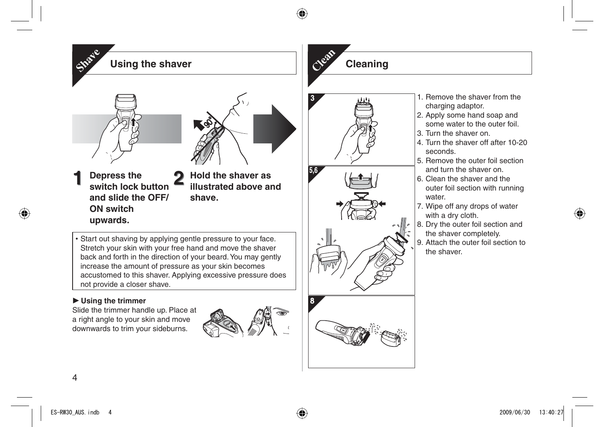

## **Using the trimmer**

Slide the trimmer handle up. Place at a right angle to your skin and move downwards to trim your sideburns.



# **Cleaning Clean**



- 1. Remove the shaver from the charging adaptor.
- 2. Apply some hand soap and some water to the outer foil.
- 3. Turn the shaver on.
- 4. Turn the shaver off after 10-20seconds.
- 5. Remove the outer foil section and turn the shaver on.
- 6. Clean the shaver and the outer foil section with running water.
- 7. Wipe off any drops of water with a dry cloth.
- 8. Dry the outer foil section and the shaver completely.
- 9. Attach the outer foil section to the shaver.

**1**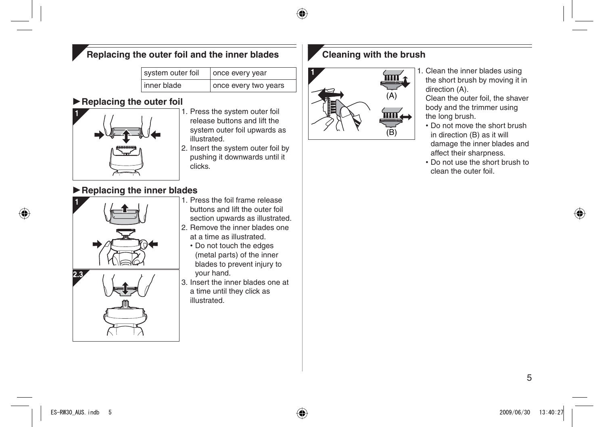# **Replacing the outer foil and the inner blades**

| system outer foil | once every year      |
|-------------------|----------------------|
| inner blade       | once every two years |

## **Replacing the outer foil**



- 1. Press the system outer foil release buttons and lift the system outer foil upwards as illustrated.
- 2. Insert the system outer foil by pushing it downwards until it clicks.

# **Replacing the inner blades**



- 1. Press the foil frame release buttons and lift the outer foil section upwards as illustrated.
- 2. Remove the inner blades one at a time as illustrated.
	- Do not touch the edges (metal parts) of the inner blades to prevent injury to your hand.
- 3. Insert the inner blades one at a time until they click as illustrated.

# **Cleaning with the brush**



1. Clean the inner blades using the short brush by moving it in direction (A).

Clean the outer foil, the shaver body and the trimmer using the long brush.

- Do not move the short brush •in direction (B) as it will damage the inner blades and affect their sharpness.
- Do not use the short brush to •clean the outer foil.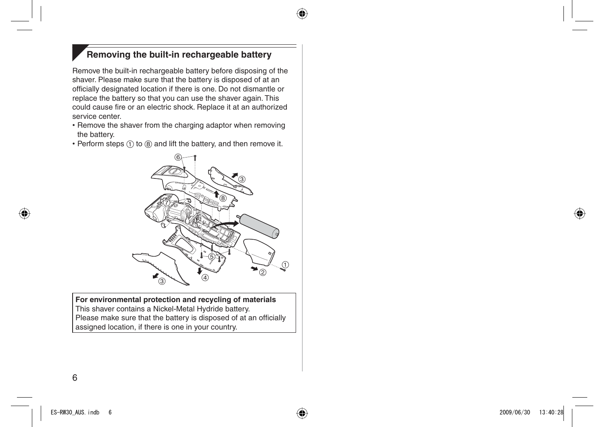# **Removing the built-in rechargeable battery**

Remove the built-in rechargeable battery before disposing of the shaver. Please make sure that the battery is disposed of at an officially designated location if there is one. Do not dismantle or replace the battery so that you can use the shaver again. This could cause fire or an electric shock. Replace it at an authorized service center.

- Remove the shaver from the charging adaptor when removing the battery.
- Perform steps  $(1)$  to  $(8)$  and lift the battery, and then remove it.



**For environmental protection and recycling of materials** This shaver contains a Nickel-Metal Hydride battery. Please make sure that the battery is disposed of at an officially assigned location, if there is one in your country.